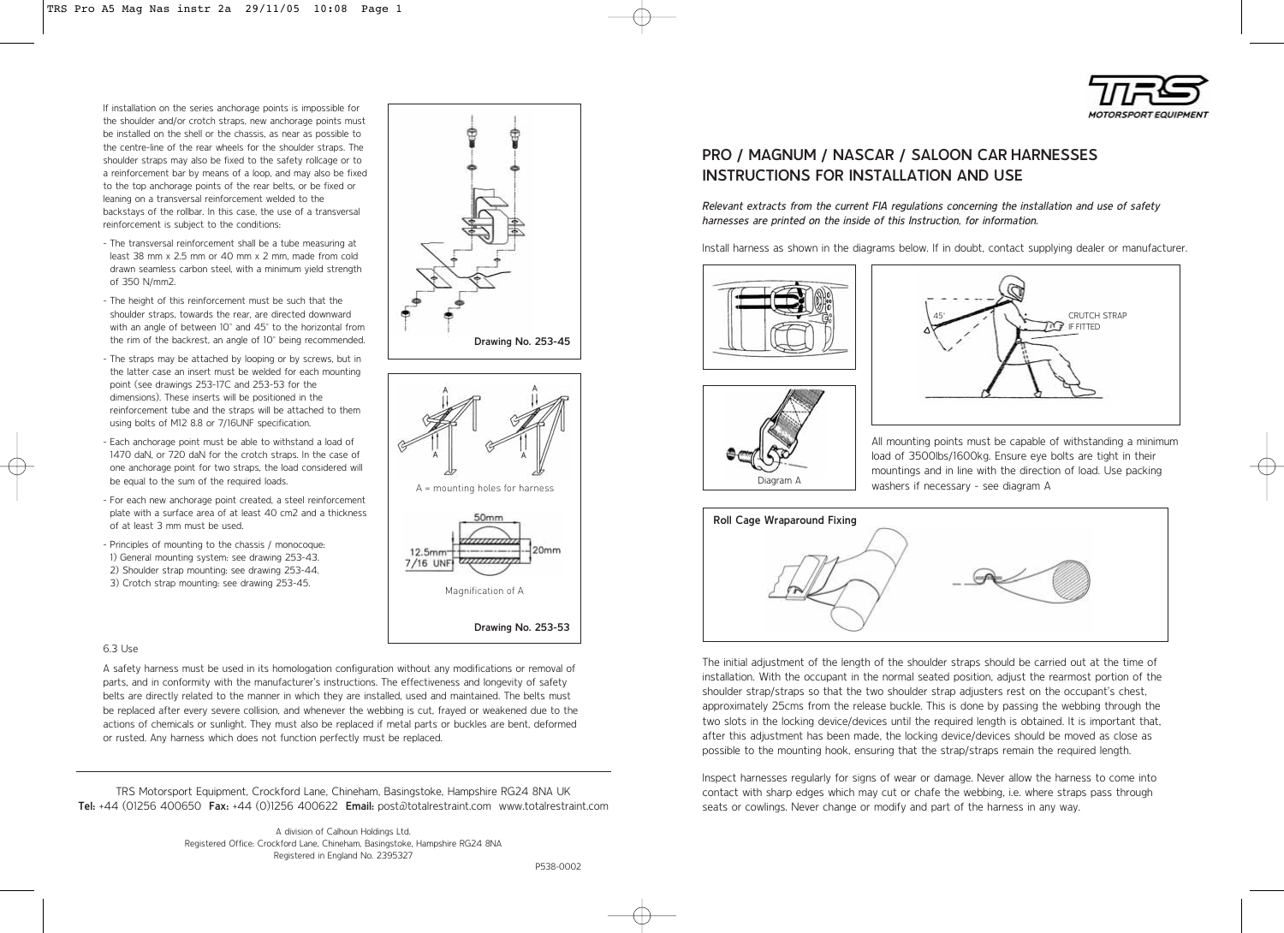

If installation on the series anchorage points is impossible for the shoulder and/or crotch straps, new anchorage points must be installed on the shell or the chassis, as near as possible to the centre-line of the rear wheels for the shoulder straps. The shoulder straps may also be fixed to the safety rollcage or to a reinforcement bar by means of a loop, and may also be fixed to the top anchorage points of the rear belts, or be fixed or leaning on a transversal reinforcement welded to the backstays of the rollbar. In this case, the use of a transversal reinforcement is subject to the conditions:

- The transversal reinforcement shall be a tube measuring at least 38 mm x 2.5 mm or 40 mm x 2 mm, made from cold drawn seamless carbon steel, with a minimum yield strength of 350 N/mm2.
- The height of this reinforcement must be such that the shoulder straps, towards the rear, are directed downward with an angle of between 10° and 45° to the horizontal from the rim of the backrest, an angle of 10° being recommended.
- The straps may be attached by looping or by screws, but in the latter case an insert must be welded for each mounting point (see drawings 253-17C and 253-53 for the dimensions). These inserts will be positioned in the reinforcement tube and the straps will be attached to them using bolts of M12 8.8 or 7/16UNF specification.
- Each anchorage point must be able to withstand a load of 1470 daN, or 720 daN for the crotch straps. In the case of one anchorage point for two straps, the load considered will be equal to the sum of the required loads.
- For each new anchorage point created, a steel reinforcement plate with a surface area of at least 40 cm2 and a thickness of at least 3 mm must be used.
- Principles of mounting to the chassis / monocoque: 1) General mounting system: see drawing 253-43. 2) Shoulder strap mounting: see drawing 253-44. 3) Crotch strap mounting: see drawing 253-45.

## 6.3 Use

A safety harness must be used in its homologation configuration without any modifications or removal of parts, and in conformity with the manufacturer's instructions. The effectiveness and longevity of safety belts are directly related to the manner in which they are installed, used and maintained. The belts must be replaced after every severe collision, and whenever the webbing is cut, frayed or weakened due to the actions of chemicals or sunlight. They must also be replaced if metal parts or buckles are bent, deformed or rusted. Any harness which does not function perfectly must be replaced.

TRS Motorsport Equipment, Crockford Lane, Chineham, Basingstoke, Hampshire RG24 8NA UK **Tel:** +44 (01256 400650 **Fax:** +44 (0)1256 400622 **Email:** post@totalrestraint.com www.totalrestraint.com

> A division of Calhoun Holdings Ltd. Registered Office: Crockford Lane, Chineham, Basingstoke, Hampshire RG24 8NA Registered in England No. 2395327







# **PRO / MAGNUM / NASCAR / SALOON CAR HARNESSES INSTRUCTIONS FOR INSTALLATION AND USE**

Relevant extracts from the current FIA regulations concerning the installation and use of safety harnesses are printed on the inside of this Instruction, for information.

Install harness as shown in the diagrams below. If in doubt, contact supplying dealer or manufacturer.







All mounting points must be capable of withstanding a minimum load of 3500lbs/1600kg. Ensure eye bolts are tight in their mountings and in line with the direction of load. Use packing washers if necessary - see diagram A



The initial adjustment of the length of the shoulder straps should be carried out at the time of installation. With the occupant in the normal seated position, adjust the rearmost portion of the shoulder strap/straps so that the two shoulder strap adjusters rest on the occupant's chest, approximately 25cms from the release buckle. This is done by passing the webbing through the two slots in the locking device/devices until the required length is obtained. It is important that, after this adjustment has been made, the locking device/devices should be moved as close as possible to the mounting hook, ensuring that the strap/straps remain the required length.

Inspect harnesses regularly for signs of wear or damage. Never allow the harness to come into contact with sharp edges which may cut or chafe the webbing, i.e. where straps pass through seats or cowlings. Never change or modify and part of the harness in any way.

P538-0002